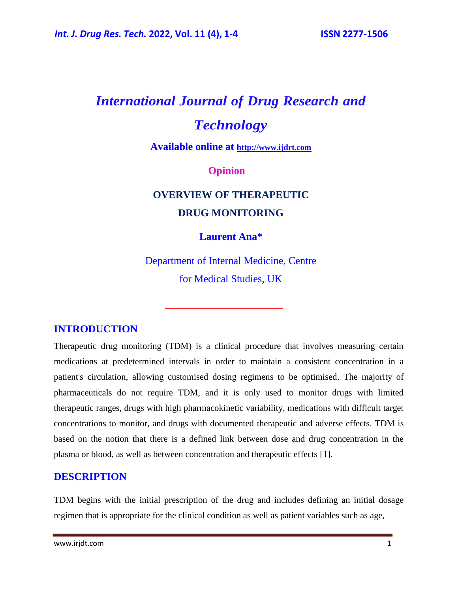# *International Journal of Drug Research and Technology*

**Available online at [http://www.ijdrt.com](http://www.ijdrt.com/)**

#### **Opinion**

## **OVERVIEW OF THERAPEUTIC DRUG MONITORING**

#### **Laurent Ana\***

Department of Internal Medicine, Centre for Medical Studies, UK

#### **INTRODUCTION**

Therapeutic drug monitoring (TDM) is a clinical procedure that involves measuring certain medications at predetermined intervals in order to maintain a consistent concentration in a patient's circulation, allowing customised dosing regimens to be optimised. The majority of pharmaceuticals do not require TDM, and it is only used to monitor drugs with limited therapeutic ranges, drugs with high pharmacokinetic variability, medications with difficult target concentrations to monitor, and drugs with documented therapeutic and adverse effects. TDM is based on the notion that there is a defined link between dose and drug concentration in the plasma or blood, as well as between concentration and therapeutic effects [1].

#### **DESCRIPTION**

TDM begins with the initial prescription of the drug and includes defining an initial dosage regimen that is appropriate for the clinical condition as well as patient variables such as age,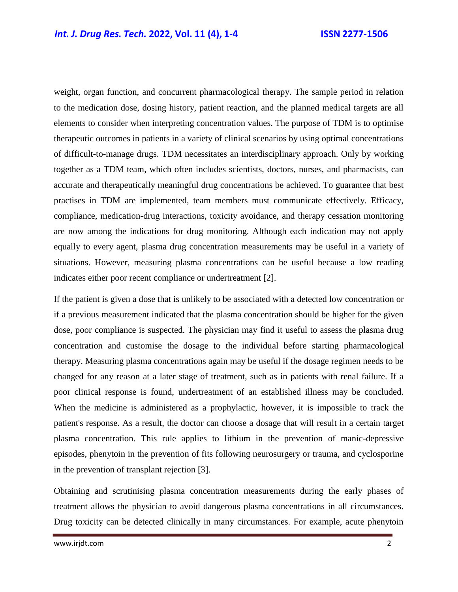weight, organ function, and concurrent pharmacological therapy. The sample period in relation to the medication dose, dosing history, patient reaction, and the planned medical targets are all elements to consider when interpreting concentration values. The purpose of TDM is to optimise therapeutic outcomes in patients in a variety of clinical scenarios by using optimal concentrations of difficult-to-manage drugs. TDM necessitates an interdisciplinary approach. Only by working together as a TDM team, which often includes scientists, doctors, nurses, and pharmacists, can accurate and therapeutically meaningful drug concentrations be achieved. To guarantee that best practises in TDM are implemented, team members must communicate effectively. Efficacy, compliance, medication-drug interactions, toxicity avoidance, and therapy cessation monitoring are now among the indications for drug monitoring. Although each indication may not apply equally to every agent, plasma drug concentration measurements may be useful in a variety of situations. However, measuring plasma concentrations can be useful because a low reading indicates either poor recent compliance or undertreatment [2].

If the patient is given a dose that is unlikely to be associated with a detected low concentration or if a previous measurement indicated that the plasma concentration should be higher for the given dose, poor compliance is suspected. The physician may find it useful to assess the plasma drug concentration and customise the dosage to the individual before starting pharmacological therapy. Measuring plasma concentrations again may be useful if the dosage regimen needs to be changed for any reason at a later stage of treatment, such as in patients with renal failure. If a poor clinical response is found, undertreatment of an established illness may be concluded. When the medicine is administered as a prophylactic, however, it is impossible to track the patient's response. As a result, the doctor can choose a dosage that will result in a certain target plasma concentration. This rule applies to lithium in the prevention of manic-depressive episodes, phenytoin in the prevention of fits following neurosurgery or trauma, and cyclosporine in the prevention of transplant rejection [3].

Obtaining and scrutinising plasma concentration measurements during the early phases of treatment allows the physician to avoid dangerous plasma concentrations in all circumstances. Drug toxicity can be detected clinically in many circumstances. For example, acute phenytoin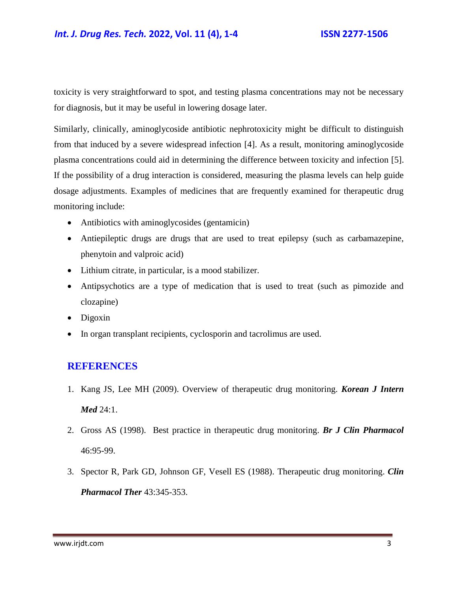#### *Int. J. Drug Res. Tech.* **2022, Vol. 11 (4), 1-4 ISSN 2277-1506**

toxicity is very straightforward to spot, and testing plasma concentrations may not be necessary for diagnosis, but it may be useful in lowering dosage later.

Similarly, clinically, aminoglycoside antibiotic nephrotoxicity might be difficult to distinguish from that induced by a severe widespread infection [4]. As a result, monitoring aminoglycoside plasma concentrations could aid in determining the difference between toxicity and infection [5]. If the possibility of a drug interaction is considered, measuring the plasma levels can help guide dosage adjustments. Examples of medicines that are frequently examined for therapeutic drug monitoring include:

- Antibiotics with aminoglycosides (gentamicin)
- Antiepileptic drugs are drugs that are used to treat epilepsy (such as carbamazepine, phenytoin and valproic acid)
- Lithium citrate, in particular, is a mood stabilizer.
- Antipsychotics are a type of medication that is used to treat (such as pimozide and clozapine)
- Digoxin
- In organ transplant recipients, cyclosporin and tacrolimus are used.

#### **REFERENCES**

- 1. Kang JS, Lee MH (2009). [Overview of therapeutic drug monitoring.](https://www.ncbi.nlm.nih.gov/pmc/articles/PMC2687654/) *Korean J Intern Med* 24:1.
- 2. Gross AS (1998). [Best practice in therapeutic drug monitoring.](https://bpspubs.onlinelibrary.wiley.com/doi/full/10.1046/j.1365-2125.1998.00770.x) *Br J Clin Pharmacol* 46:95-99.
- 3. Spector R, Park GD, Johnson GF, Vesell ES (1988). [Therapeutic drug monitoring.](https://d1wqtxts1xzle7.cloudfront.net/72731422/Therapeutic_drug_monitoring20211015-10160-1igirf1-with-cover-page-v2.pdf?Expires=1655111721&Signature=APAZPGdM8~Afrq7O9K2XMoTB356AnWcVSF2LmUXJ92f6ukqYAolnVMtGq4sJNv2fc~Q20ycNEqiVe4K2-1viXbCLbqrIjJQu4XjSizq3ZvpwF9rCQgeZpqKDIsymlXTcKHOAfq0chlglTCM6~SsAn3y64WNuvNSTGWmM0trEyBwrOk-cBgkOALXesG~cmY3dKAFosaOosndYjzwFMDA05WnnPEKOIvhUU9CDYG-TUmf120hyXrUPyIS6SkiAAM4jlTFPVRIIf0DtHxXKyX1wm9lGX0PNVN8cfZ5IPkUDmNgn51Yx5BTGS~m9jTqXCKBJeZKlSYwLSZGuCvU6PNB1kA__&Key-Pair-Id=APKAJLOHF5GGSLRBV4ZA) *Clin Pharmacol Ther* 43:345-353.

www.irjdt.com